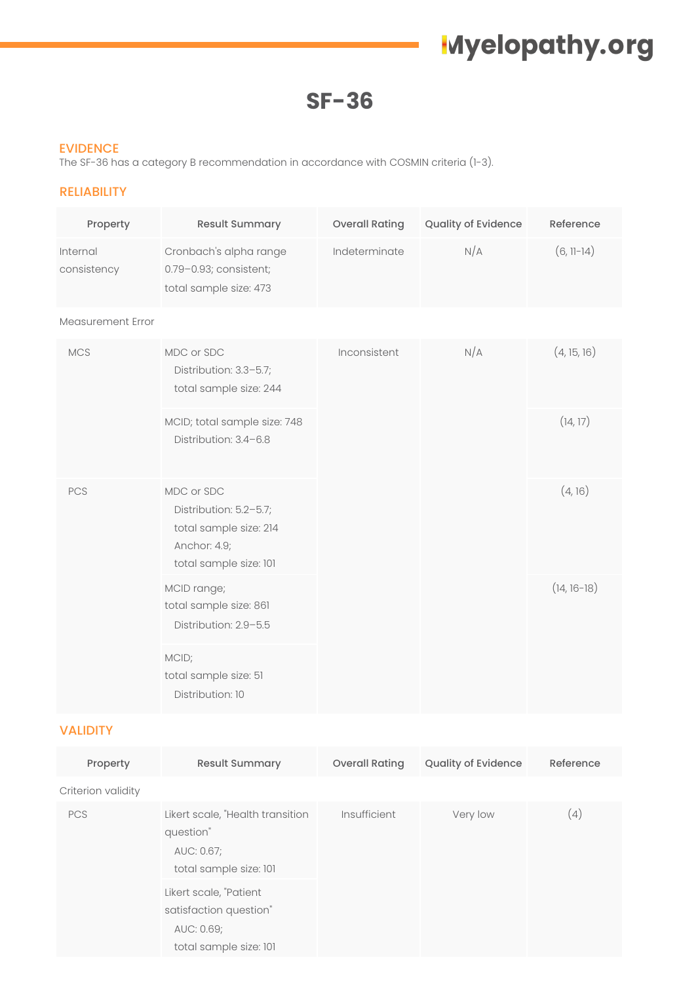# **Myelopathy.org**

**SF-36**

#### EVIDENCE

The SF-36 has a category B recommendation in accordance with COSMIN criteria (1-3).

### RELIABILITY

| Property                | Result Summary                                                                                           | <b>Overall Rating</b> | Quality of Evidence | Reference     |
|-------------------------|----------------------------------------------------------------------------------------------------------|-----------------------|---------------------|---------------|
| Internal<br>consistency | Cronbach's alpha range<br>0.79-0.93; consistent;<br>total sample size: 473                               | Indeterminate         | N/A                 | $(6, 11-14)$  |
| Measurement Error       |                                                                                                          |                       |                     |               |
| <b>MCS</b>              | MDC or SDC<br>Distribution: 3.3-5.7;<br>total sample size: 244                                           | Inconsistent          | N/A                 | (4, 15, 16)   |
|                         | MCID; total sample size: 748<br>Distribution: 3.4-6.8                                                    |                       |                     | (14, 17)      |
| PCS                     | MDC or SDC<br>Distribution: 5.2-5.7;<br>total sample size: 214<br>Anchor: 4.9;<br>total sample size: 101 |                       |                     | (4, 16)       |
|                         | MCID range;<br>total sample size: 861<br>Distribution: 2.9-5.5                                           |                       |                     | $(14, 16-18)$ |
|                         | MCID;<br>total sample size: 51<br>Distribution: 10                                                       |                       |                     |               |

### VALIDITY

| Property           | <b>Result Summary</b>                                                                    | <b>Overall Rating</b> | Quality of Evidence | Reference |
|--------------------|------------------------------------------------------------------------------------------|-----------------------|---------------------|-----------|
| Criterion validity |                                                                                          |                       |                     |           |
| <b>PCS</b>         | Likert scale, "Health transition<br>question"<br>AUC: 0.67;<br>total sample size: 101    | Insufficient          | Very low            | (4)       |
|                    | Likert scale, "Patient<br>satisfaction question"<br>AUC: 0.69;<br>total sample size: 101 |                       |                     |           |